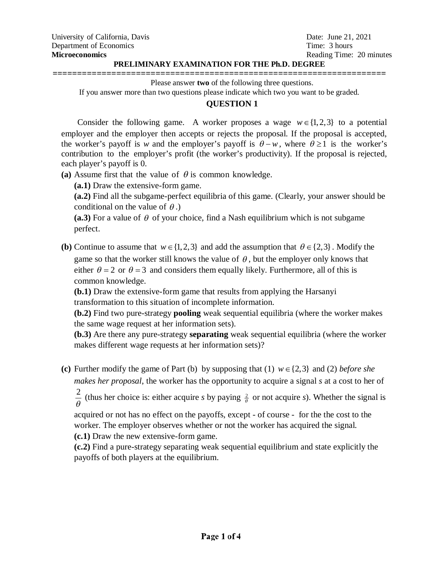### **PRELIMINARY EXAMINATION FOR THE Ph.D. DEGREE**

**====================================================================** Please answer **two** of the following three questions.

If you answer more than two questions please indicate which two you want to be graded.

# **QUESTION 1**

Consider the following game. A worker proposes a wage  $w \in \{1,2,3\}$  to a potential employer and the employer then accepts or rejects the proposal. If the proposal is accepted, the worker's payoff is *w* and the employer's payoff is  $\theta - w$ , where  $\theta \ge 1$  is the worker's contribution to the employer's profit (the worker's productivity). If the proposal is rejected, each player's payoff is 0.

(a) Assume first that the value of  $\theta$  is common knowledge.

**(a.1)** Draw the extensive-form game.

**(a.2)** Find all the subgame-perfect equilibria of this game. (Clearly, your answer should be conditional on the value of  $\theta$ .)

(a.3) For a value of  $\theta$  of your choice, find a Nash equilibrium which is not subgame perfect.

**(b)** Continue to assume that  $w \in \{1,2,3\}$  and add the assumption that  $\theta \in \{2,3\}$ . Modify the game so that the worker still knows the value of  $\theta$ , but the employer only knows that either  $\theta = 2$  or  $\theta = 3$  and considers them equally likely. Furthermore, all of this is common knowledge.

**(b.1)** Draw the extensive-form game that results from applying the Harsanyi transformation to this situation of incomplete information.

**(b.2)** Find two pure-strategy **pooling** weak sequential equilibria (where the worker makes the same wage request at her information sets).

**(b.3)** Are there any pure-strategy **separating** weak sequential equilibria (where the worker makes different wage requests at her information sets)?

(c) Further modify the game of Part (b) by supposing that (1)  $w \in \{2,3\}$  and (2) *before she makes her proposal*, the worker has the opportunity to acquire a signal *s* at a cost to her of

2  $\frac{2}{\theta}$  (thus her choice is: either acquire *s* by paying  $\frac{2}{\theta}$  or not acquire *s*). Whether the signal is

acquired or not has no effect on the payoffs, except - of course - for the the cost to the worker. The employer observes whether or not the worker has acquired the signal. **(c.1)** Draw the new extensive-form game.

**(c.2)** Find a pure-strategy separating weak sequential equilibrium and state explicitly the payoffs of both players at the equilibrium.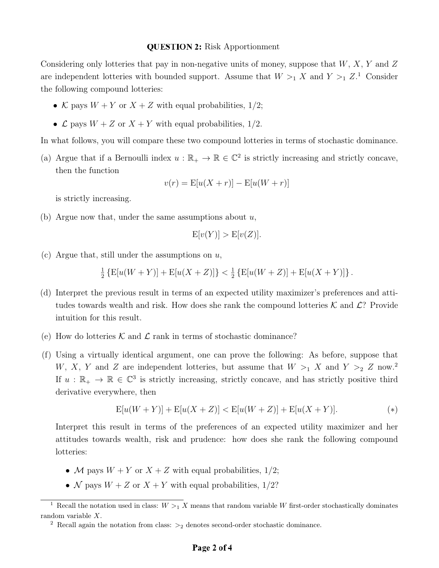#### **QUESTION 2:** Risk Apportionment

Considering only lotteries that pay in non-negative units of money, suppose that  $W, X, Y$  and  $Z$ are independent lotteries with bounded support. Assume that  $W >_1 X$  and  $Y >_1 Z$ .<sup>1</sup> Consider the following compound lotteries:

- K pays  $W + Y$  or  $X + Z$  with equal probabilities, 1/2;
- $\mathcal L$  pays  $W + Z$  or  $X + Y$  with equal probabilities, 1/2.

In what follows, you will compare these two compound lotteries in terms of stochastic dominance.

(a) Argue that if a Bernoulli index  $u : \mathbb{R}_+ \to \mathbb{R} \in \mathbb{C}^2$  is strictly increasing and strictly concave, then the function

$$
v(r) = \mathbb{E}[u(X+r)] - \mathbb{E}[u(W+r)]
$$

is strictly increasing.

(b) Argue now that, under the same assumptions about  $u$ ,

$$
E[v(Y)] > E[v(Z)].
$$

(c) Argue that, still under the assumptions on  $u$ ,

1  $\frac{1}{2}$  {E[u(W + Y)] + E[u(X + Z)]} <  $\frac{1}{2}$  $\frac{1}{2}$  {E[u(W + Z)] + E[u(X + Y)]}.

- (d) Interpret the previous result in terms of an expected utility maximizer's preferences and attitudes towards wealth and risk. How does she rank the compound lotteries  $\mathcal K$  and  $\mathcal L$ ? Provide intuition for this result.
- (e) How do lotteries  $K$  and  $\mathcal L$  rank in terms of stochastic dominance?
- (f) Using a virtually identical argument, one can prove the following: As before, suppose that W, X, Y and Z are independent lotteries, but assume that  $W >_1 X$  and  $Y >_2 Z$  now.<sup>2</sup> If  $u : \mathbb{R}_+ \to \mathbb{R} \in \mathbb{C}^3$  is strictly increasing, strictly concave, and has strictly positive third derivative everywhere, then

$$
E[u(W+Y)] + E[u(X+Z)] < E[u(W+Z)] + E[u(X+Y)]. \tag{*}
$$

Interpret this result in terms of the preferences of an expected utility maximizer and her attitudes towards wealth, risk and prudence: how does she rank the following compound lotteries:

- M pays  $W + Y$  or  $X + Z$  with equal probabilities, 1/2;
- N pays  $W + Z$  or  $X + Y$  with equal probabilities, 1/2?

<sup>&</sup>lt;sup>1</sup> Recall the notation used in class:  $W > 1$  X means that random variable W first-order stochastically dominates random variable X.

<sup>&</sup>lt;sup>2</sup> Recall again the notation from class:  $>$ <sub>2</sub> denotes second-order stochastic dominance.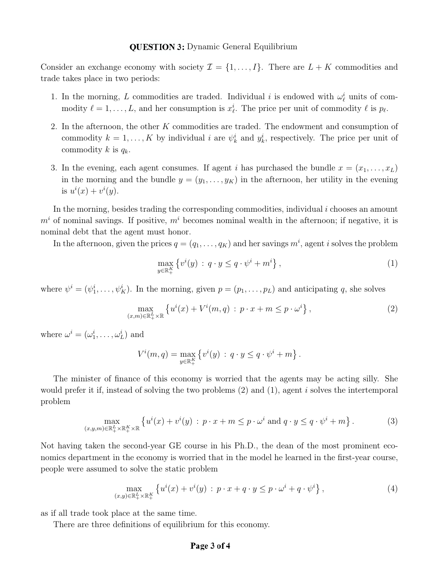### **QUESTION 3:** Dynamic General Equilibrium

Consider an exchange economy with society  $\mathcal{I} = \{1, ..., I\}$ . There are  $L + K$  commodities and trade takes place in two periods:

- 1. In the morning, L commodities are traded. Individual i is endowed with  $\omega_{\ell}^{i}$  units of commodity  $\ell = 1, \ldots, L$ , and her consumption is  $x_{\ell}^i$ . The price per unit of commodity  $\ell$  is  $p_{\ell}$ .
- 2. In the afternoon, the other K commodities are traded. The endowment and consumption of commodity  $k = 1, ..., K$  by individual i are  $\psi_k^i$  and  $y_k^i$ , respectively. The price per unit of commodity k is  $q_k$ .
- 3. In the evening, each agent consumes. If agent i has purchased the bundle  $x = (x_1, \ldots, x_L)$ in the morning and the bundle  $y = (y_1, \ldots, y_K)$  in the afternoon, her utility in the evening is  $u^i(x) + v^i(y)$ .

In the morning, besides trading the corresponding commodities, individual  $i$  chooses an amount  $m<sup>i</sup>$  of nominal savings. If positive,  $m<sup>i</sup>$  becomes nominal wealth in the afternoon; if negative, it is nominal debt that the agent must honor.

In the afternoon, given the prices  $q = (q_1, \ldots, q_K)$  and her savings  $m^i$ , agent i solves the problem

$$
\max_{y \in \mathbb{R}_+^K} \left\{ v^i(y) \, : \, q \cdot y \le q \cdot \psi^i + m^i \right\},\tag{1}
$$

where  $\psi^i = (\psi_1^i, \dots, \psi_K^i)$ . In the morning, given  $p = (p_1, \dots, p_L)$  and anticipating q, she solves

$$
\max_{(x,m)\in\mathbb{R}_+^L\times\mathbb{R}}\left\{u^i(x)+V^i(m,q)\,:\,p\cdot x+m\leq p\cdot\omega^i\right\},\tag{2}
$$

where  $\omega^i = (\omega_1^i, \dots, \omega_L^i)$  and

$$
V^{i}(m, q) = \max_{y \in \mathbb{R}_{+}^{K}} \left\{ v^{i}(y) : q \cdot y \leq q \cdot \psi^{i} + m \right\}.
$$

The minister of finance of this economy is worried that the agents may be acting silly. She would prefer it if, instead of solving the two problems (2) and (1), agent i solves the intertemporal problem

$$
\max_{(x,y,m)\in\mathbb{R}_+^L\times\mathbb{R}_+^K\times\mathbb{R}}\left\{u^i(x)+v^i(y)\,:\,p\cdot x+m\leq p\cdot\omega^i\text{ and }q\cdot y\leq q\cdot\psi^i+m\right\}.\tag{3}
$$

Not having taken the second-year GE course in his Ph.D., the dean of the most prominent economics department in the economy is worried that in the model he learned in the first-year course, people were assumed to solve the static problem

$$
\max_{(x,y)\in\mathbb{R}_+^L\times\mathbb{R}_+^K} \left\{ u^i(x) + v^i(y) \, : \, p \cdot x + q \cdot y \le p \cdot \omega^i + q \cdot \psi^i \right\},\tag{4}
$$

as if all trade took place at the same time.

There are three definitions of equilibrium for this economy.

# Page 3 of 4